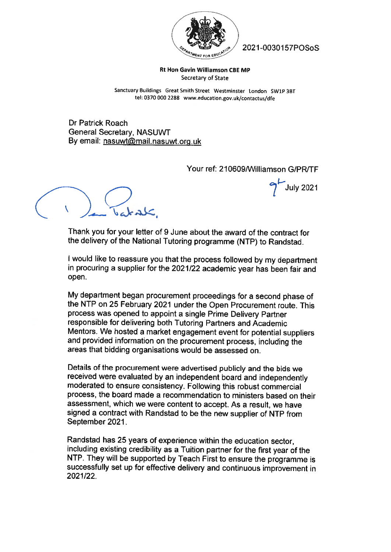

& "&Y /' 2021-OO3O157POSoS

7'JuIv 2021

Rt Hon Gavin Williamson CBE MP Secretary of State

Sanctuary Buildings Great Smith Street Westminster london SWIP 3BT tel: <sup>0370</sup> <sup>000</sup> <sup>2288</sup> www.education.gov.uk/contactus/dfe

Dr Patrick Roach General Secretary, NASUWT By email: nasuwt@mail.nasuwt.org.uk

Your ref: 210609/Williamson G/PR/TF

 $( \ , \ )_{\bullet}$ 

Thank you for your letter of 9 June about the award of the contract for the delivery of the National Tutoring programme (NTP) to Randstad.

<sup>I</sup> would like to reassure you that the process followed by my department in procuring <sup>a</sup> supplier for the 2021/22 academic year has been fair and open.

My department began procurement proceedings for <sup>a</sup> second <sup>p</sup>hase of the NTP on <sup>25</sup> February <sup>2021</sup> under the Open Procurement route. This process was opened to appoint <sup>a</sup> single Prime Delivery Partner responsible for delivering both Tutoring Partners and Academic Mentors. We hosted <sup>a</sup> market engagement event for potential suppliers and provided information on the procurement process, including the areas that bidding organisations would be assessed on.

Details of the procurement were advertised publicly and the bids we received were evaluated by an independent board and independently moderated to ensure consistency. Following this robust commercial process, the board made <sup>a</sup> recommendation to ministers based on their assessment, which we were content to accept. As <sup>a</sup> result, we have signed <sup>a</sup> contract with Randstad to be the new supplier of NTP from September 2021.

Randstad has <sup>25</sup> years of experience within the education sector, including existing credibility as <sup>a</sup> Tuition partner for the first year of the NTP. They will be supported by Teach First to ensure the programme is successfully set up for effective delivery and continuous improvement in 2021/22.